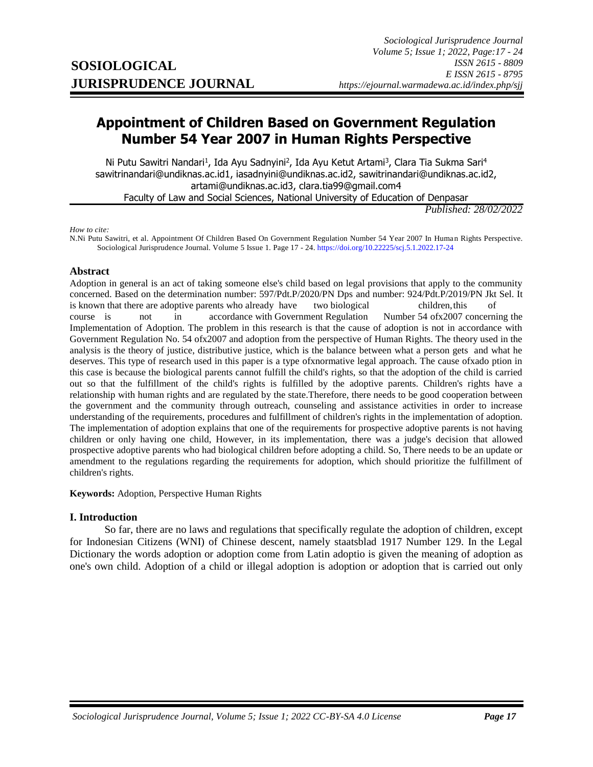# **Appointment of Children Based on Government Regulation Number 54 Year 2007 in Human Rights Perspective**

Ni Putu Sawitri Nandari<sup>1</sup>, Ida Ayu Sadnyini<sup>2</sup>, Ida Ayu Ketut Artami<sup>3</sup>, Clara Tia Sukma Sari<sup>4</sup> sawitrinandari@undiknas.ac.id1, iasadnyini@undiknas.ac.id2, sawitrinandari@undiknas.ac.id2, artami@undiknas.ac.id3, clara.tia99@gmail.com4 Faculty of Law and Social Sciences, National University of Education of Denpasar

*Published: 28/02/2022*

*How to cite:*

N.Ni Putu Sawitri, et al. Appointment Of Children Based On Government Regulation Number 54 Year 2007 In Human Rights Perspective. Sociological Jurisprudence Journal. Volume 5 Issue 1. Page 17 - 24[. https://doi.org/10.22225/scj.5.1.2022.17-24](https://doi.org/10.22225/scj.5.1.2022.17-24)

#### **Abstract**

Adoption in general is an act of taking someone else's child based on legal provisions that apply to the community concerned. Based on the determination number: 597/Pdt.P/2020/PN Dps and number: 924/Pdt.P/2019/PN Jkt Sel. It is known that there are adoptive parents who already have two biological children, this of course is not in accordance with Government Regulation Number 54 ofx2007 concerning the Implementation of Adoption. The problem in this research is that the cause of adoption is not in accordance with Government Regulation No. 54 ofx2007 and adoption from the perspective of Human Rights. The theory used in the analysis is the theory of justice, distributive justice, which is the balance between what a person gets and what he deserves. This type of research used in this paper is a type ofxnormative legal approach. The cause ofxado ption in this case is because the biological parents cannot fulfill the child's rights, so that the adoption of the child is carried out so that the fulfillment of the child's rights is fulfilled by the adoptive parents. Children's rights have a relationship with human rights and are regulated by the state.Therefore, there needs to be good cooperation between the government and the community through outreach, counseling and assistance activities in order to increase understanding of the requirements, procedures and fulfillment of children's rights in the implementation of adoption. The implementation of adoption explains that one of the requirements for prospective adoptive parents is not having children or only having one child, However, in its implementation, there was a judge's decision that allowed prospective adoptive parents who had biological children before adopting a child. So, There needs to be an update or amendment to the regulations regarding the requirements for adoption, which should prioritize the fulfillment of children's rights.

**Keywords:** Adoption, Perspective Human Rights

#### **I. Introduction**

So far, there are no laws and regulations that specifically regulate the adoption of children, except for Indonesian Citizens (WNI) of Chinese descent, namely staatsblad 1917 Number 129. In the Legal Dictionary the words adoption or adoption come from Latin adoptio is given the meaning of adoption as one's own child. Adoption of a child or illegal adoption is adoption or adoption that is carried out only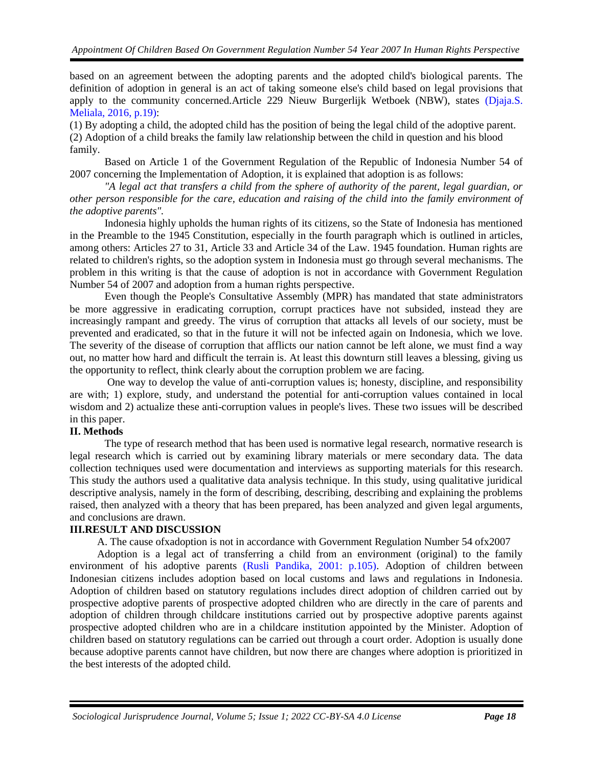based on an agreement between the adopting parents and the adopted child's biological parents. The definition of adoption in general is an act of taking someone else's child based on legal provisions that apply to the community concerned.Article 229 Nieuw Burgerlijk Wetboek (NBW), states [\(Djaja.S.](#page-5-0)  [Meliala, 2016, p.19\):](#page-5-0)

(1) By adopting a child, the adopted child has the position of being the legal child of the adoptive parent. (2) Adoption of a child breaks the family law relationship between the child in question and his blood family.

Based on Article 1 of the Government Regulation of the Republic of Indonesia Number 54 of 2007 concerning the Implementation of Adoption, it is explained that adoption is as follows:

*"A legal act that transfers a child from the sphere of authority of the parent, legal guardian, or other person responsible for the care, education and raising of the child into the family environment of the adoptive parents".*

Indonesia highly upholds the human rights of its citizens, so the State of Indonesia has mentioned in the Preamble to the 1945 Constitution, especially in the fourth paragraph which is outlined in articles, among others: Articles 27 to 31, Article 33 and Article 34 of the Law. 1945 foundation. Human rights are related to children's rights, so the adoption system in Indonesia must go through several mechanisms. The problem in this writing is that the cause of adoption is not in accordance with Government Regulation Number 54 of 2007 and adoption from a human rights perspective.

Even though the People's Consultative Assembly (MPR) has mandated that state administrators be more aggressive in eradicating corruption, corrupt practices have not subsided, instead they are increasingly rampant and greedy. The virus of corruption that attacks all levels of our society, must be prevented and eradicated, so that in the future it will not be infected again on Indonesia, which we love. The severity of the disease of corruption that afflicts our nation cannot be left alone, we must find a way out, no matter how hard and difficult the terrain is. At least this downturn still leaves a blessing, giving us the opportunity to reflect, think clearly about the corruption problem we are facing.

One way to develop the value of anti-corruption values is; honesty, discipline, and responsibility are with; 1) explore, study, and understand the potential for anti-corruption values contained in local wisdom and 2) actualize these anti-corruption values in people's lives. These two issues will be described in this paper.

## **II. Methods**

The type of research method that has been used is normative legal research, normative research is legal research which is carried out by examining library materials or mere secondary data. The data collection techniques used were documentation and interviews as supporting materials for this research. This study the authors used a qualitative data analysis technique. In this study, using qualitative juridical descriptive analysis, namely in the form of describing, describing, describing and explaining the problems raised, then analyzed with a theory that has been prepared, has been analyzed and given legal arguments, and conclusions are drawn.

#### **III.RESULT AND DISCUSSION**

A. The cause ofxadoption is not in accordance with Government Regulation Number 54 ofx2007

Adoption is a legal act of transferring a child from an environment (original) to the family environment of his adoptive parents [\(Rusli Pandika, 2001: p.105\).](#page-5-0) Adoption of children between Indonesian citizens includes adoption based on local customs and laws and regulations in Indonesia. Adoption of children based on statutory regulations includes direct adoption of children carried out by prospective adoptive parents of prospective adopted children who are directly in the care of parents and adoption of children through childcare institutions carried out by prospective adoptive parents against prospective adopted children who are in a childcare institution appointed by the Minister. Adoption of children based on statutory regulations can be carried out through a court order. Adoption is usually done because adoptive parents cannot have children, but now there are changes where adoption is prioritized in the best interests of the adopted child.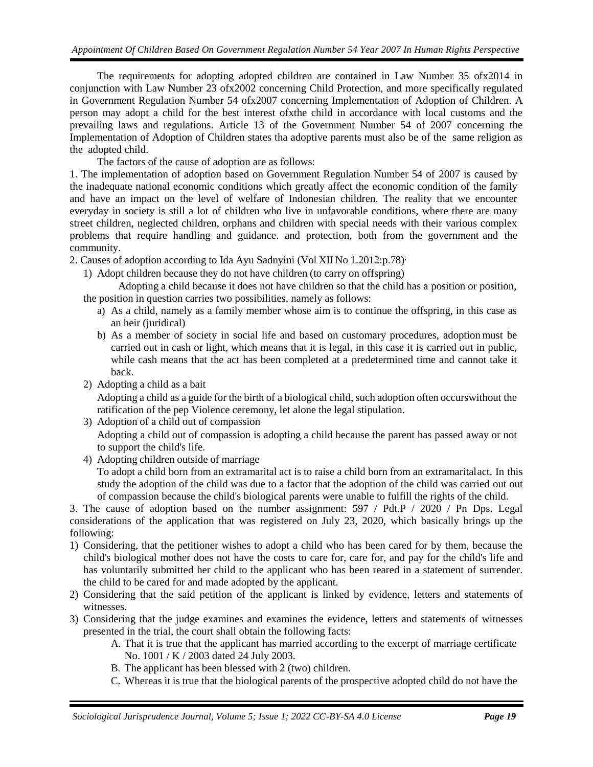The requirements for adopting adopted children are contained in Law Number 35 ofx2014 in conjunction with Law Number 23 ofx2002 concerning Child Protection, and more specifically regulated in Government Regulation Number 54 ofx2007 concerning Implementation of Adoption of Children. A person may adopt a child for the best interest ofxthe child in accordance with local customs and the prevailing laws and regulations. Article 13 of the Government Number 54 of 2007 concerning the Implementation of Adoption of Children states tha adoptive parents must also be of the same religion as the adopted child.

The factors of the cause of adoption are as follows:

1. The implementation of adoption based on Government Regulation Number 54 of 2007 is caused by the inadequate national economic conditions which greatly affect the economic condition of the family and have an impact on the level of welfare of Indonesian children. The reality that we encounter everyday in society is still a lot of children who live in unfavorable conditions, where there are many street children, neglected children, orphans and children with special needs with their various complex problems that require handling and guidance. and protection, both from the government and the community.

2. Causes of adoption according to Ida Ayu Sadnyini (Vol XII No 1.2012:p.78):

1) Adopt children because they do not have children (to carry on offspring)

Adopting a child because it does not have children so that the child has a position or position, the position in question carries two possibilities, namely as follows:

- a) As a child, namely as a family member whose aim is to continue the offspring, in this case as an heir (juridical)
- b) As a member of society in social life and based on customary procedures, adoption must be carried out in cash or light, which means that it is legal, in this case it is carried out in public, while cash means that the act has been completed at a predetermined time and cannot take it back.
- 2) Adopting a child as a bait Adopting a child as a guide for the birth of a biological child, such adoption often occurswithout the ratification of the pep Violence ceremony, let alone the legal stipulation.
- 3) Adoption of a child out of compassion Adopting a child out of compassion is adopting a child because the parent has passed away or not to support the child's life.
- 4) Adopting children outside of marriage To adopt a child born from an extramarital act is to raise a child born from an extramaritalact. In this study the adoption of the child was due to a factor that the adoption of the child was carried out out of compassion because the child's biological parents were unable to fulfill the rights of the child.

3. The cause of adoption based on the number assignment: 597 / Pdt.P / 2020 / Pn Dps. Legal considerations of the application that was registered on July 23, 2020, which basically brings up the following:

- 1) Considering, that the petitioner wishes to adopt a child who has been cared for by them, because the child's biological mother does not have the costs to care for, care for, and pay for the child's life and has voluntarily submitted her child to the applicant who has been reared in a statement of surrender. the child to be cared for and made adopted by the applicant.
- 2) Considering that the said petition of the applicant is linked by evidence, letters and statements of witnesses.
- 3) Considering that the judge examines and examines the evidence, letters and statements of witnesses presented in the trial, the court shall obtain the following facts:
	- A. That it is true that the applicant has married according to the excerpt of marriage certificate No. 1001 / K / 2003 dated 24 July 2003.
	- B. The applicant has been blessed with 2 (two) children.
	- C. Whereas it is true that the biological parents of the prospective adopted child do not have the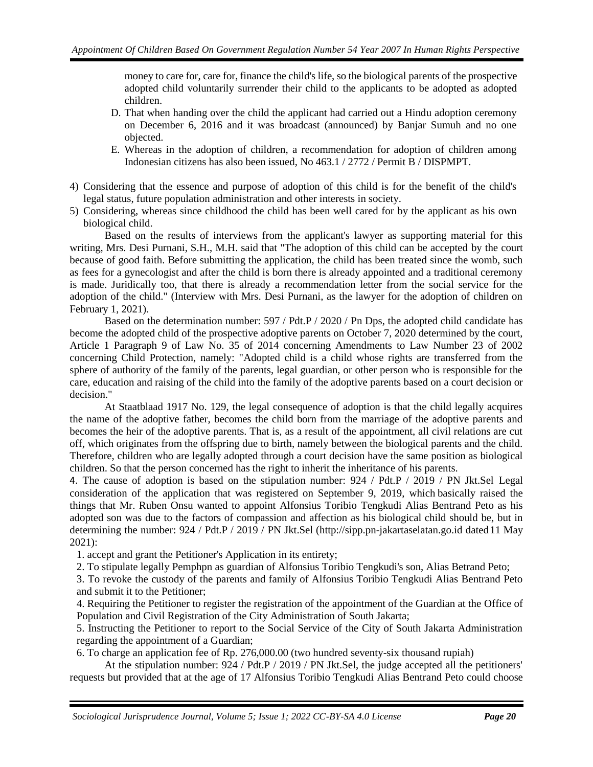money to care for, care for, finance the child's life, so the biological parents of the prospective adopted child voluntarily surrender their child to the applicants to be adopted as adopted children.

- D. That when handing over the child the applicant had carried out a Hindu adoption ceremony on December 6, 2016 and it was broadcast (announced) by Banjar Sumuh and no one objected.
- E. Whereas in the adoption of children, a recommendation for adoption of children among Indonesian citizens has also been issued, No 463.1 / 2772 / Permit B / DISPMPT.
- 4) Considering that the essence and purpose of adoption of this child is for the benefit of the child's legal status, future population administration and other interests in society.
- 5) Considering, whereas since childhood the child has been well cared for by the applicant as his own biological child.

Based on the results of interviews from the applicant's lawyer as supporting material for this writing, Mrs. Desi Purnani, S.H., M.H. said that "The adoption of this child can be accepted by the court because of good faith. Before submitting the application, the child has been treated since the womb, such as fees for a gynecologist and after the child is born there is already appointed and a traditional ceremony is made. Juridically too, that there is already a recommendation letter from the social service for the adoption of the child." (Interview with Mrs. Desi Purnani, as the lawyer for the adoption of children on February 1, 2021).

Based on the determination number: 597 / Pdt.P / 2020 / Pn Dps, the adopted child candidate has become the adopted child of the prospective adoptive parents on October 7, 2020 determined by the court, Article 1 Paragraph 9 of Law No. 35 of 2014 concerning Amendments to Law Number 23 of 2002 concerning Child Protection, namely: "Adopted child is a child whose rights are transferred from the sphere of authority of the family of the parents, legal guardian, or other person who is responsible for the care, education and raising of the child into the family of the adoptive parents based on a court decision or decision."

At Staatblaad 1917 No. 129, the legal consequence of adoption is that the child legally acquires the name of the adoptive father, becomes the child born from the marriage of the adoptive parents and becomes the heir of the adoptive parents. That is, as a result of the appointment, all civil relations are cut off, which originates from the offspring due to birth, namely between the biological parents and the child. Therefore, children who are legally adopted through a court decision have the same position as biological children. So that the person concerned has the right to inherit the inheritance of his parents.

4. The cause of adoption is based on the stipulation number: 924 / Pdt.P / 2019 / PN Jkt.Sel Legal consideration of the application that was registered on September 9, 2019, which basically raised the things that Mr. Ruben Onsu wanted to appoint Alfonsius Toribio Tengkudi Alias Bentrand Peto as his adopted son was due to the factors of compassion and affection as his biological child should be, but in determining the number: 924 / Pdt.P / 2019 / PN Jkt.Sel [\(http://sipp.pn-jakartaselatan.go.id d](http://sipp.pn-jakartaselatan.go.id/)ated11 May 2021):

1. accept and grant the Petitioner's Application in its entirety;

2. To stipulate legally Pemphpn as guardian of Alfonsius Toribio Tengkudi's son, Alias Betrand Peto;

3. To revoke the custody of the parents and family of Alfonsius Toribio Tengkudi Alias Bentrand Peto and submit it to the Petitioner;

4. Requiring the Petitioner to register the registration of the appointment of the Guardian at the Office of Population and Civil Registration of the City Administration of South Jakarta;

5. Instructing the Petitioner to report to the Social Service of the City of South Jakarta Administration regarding the appointment of a Guardian;

6. To charge an application fee of Rp. 276,000.00 (two hundred seventy-six thousand rupiah)

At the stipulation number:  $924$  / Pdt.P / 2019 / PN Jkt.Sel, the judge accepted all the petitioners' requests but provided that at the age of 17 Alfonsius Toribio Tengkudi Alias Bentrand Peto could choose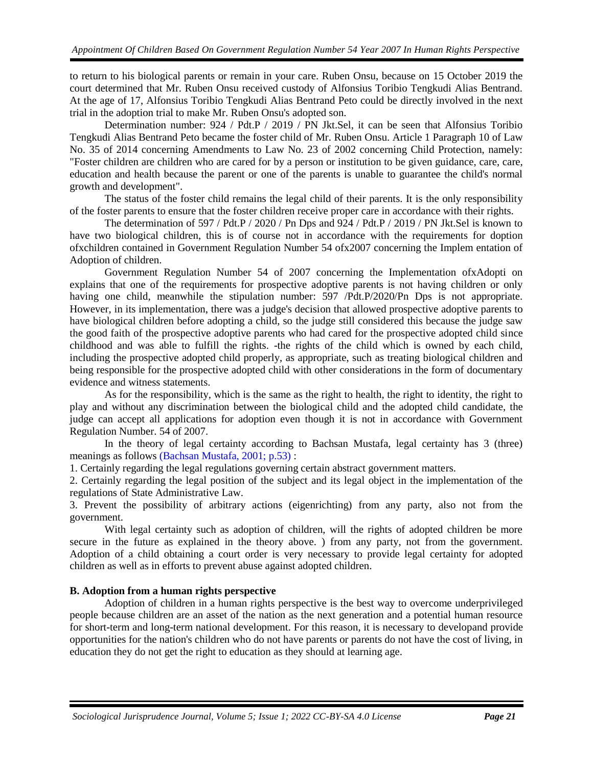to return to his biological parents or remain in your care. Ruben Onsu, because on 15 October 2019 the court determined that Mr. Ruben Onsu received custody of Alfonsius Toribio Tengkudi Alias Bentrand. At the age of 17, Alfonsius Toribio Tengkudi Alias Bentrand Peto could be directly involved in the next trial in the adoption trial to make Mr. Ruben Onsu's adopted son.

Determination number: 924 / Pdt.P / 2019 / PN Jkt.Sel, it can be seen that Alfonsius Toribio Tengkudi Alias Bentrand Peto became the foster child of Mr. Ruben Onsu. Article 1 Paragraph 10 of Law No. 35 of 2014 concerning Amendments to Law No. 23 of 2002 concerning Child Protection, namely: "Foster children are children who are cared for by a person or institution to be given guidance, care, care, education and health because the parent or one of the parents is unable to guarantee the child's normal growth and development".

The status of the foster child remains the legal child of their parents. It is the only responsibility of the foster parents to ensure that the foster children receive proper care in accordance with their rights.

The determination of 597 / Pdt.P / 2020 / Pn Dps and 924 / Pdt.P / 2019 / PN Jkt.Sel is known to have two biological children, this is of course not in accordance with the requirements for doption ofxchildren contained in Government Regulation Number 54 ofx2007 concerning the Implem entation of Adoption of children.

Government Regulation Number 54 of 2007 concerning the Implementation ofxAdopti on explains that one of the requirements for prospective adoptive parents is not having children or only having one child, meanwhile the stipulation number: 597 /Pdt.P/2020/Pn Dps is not appropriate. However, in its implementation, there was a judge's decision that allowed prospective adoptive parents to have biological children before adopting a child, so the judge still considered this because the judge saw the good faith of the prospective adoptive parents who had cared for the prospective adopted child since childhood and was able to fulfill the rights. -the rights of the child which is owned by each child, including the prospective adopted child properly, as appropriate, such as treating biological children and being responsible for the prospective adopted child with other considerations in the form of documentary evidence and witness statements.

As for the responsibility, which is the same as the right to health, the right to identity, the right to play and without any discrimination between the biological child and the adopted child candidate, the judge can accept all applications for adoption even though it is not in accordance with Government Regulation Number. 54 of 2007.

In the theory of legal certainty according to Bachsan Mustafa, legal certainty has 3 (three) meanings as follows [\(Bachsan Mustafa, 2001; p.53\)](#page-5-0) :

1. Certainly regarding the legal regulations governing certain abstract government matters.

2. Certainly regarding the legal position of the subject and its legal object in the implementation of the regulations of State Administrative Law.

3. Prevent the possibility of arbitrary actions (eigenrichting) from any party, also not from the government.

With legal certainty such as adoption of children, will the rights of adopted children be more secure in the future as explained in the theory above. ) from any party, not from the government. Adoption of a child obtaining a court order is very necessary to provide legal certainty for adopted children as well as in efforts to prevent abuse against adopted children.

#### **B. Adoption from a human rights perspective**

Adoption of children in a human rights perspective is the best way to overcome underprivileged people because children are an asset of the nation as the next generation and a potential human resource for short-term and long-term national development. For this reason, it is necessary to developand provide opportunities for the nation's children who do not have parents or parents do not have the cost of living, in education they do not get the right to education as they should at learning age.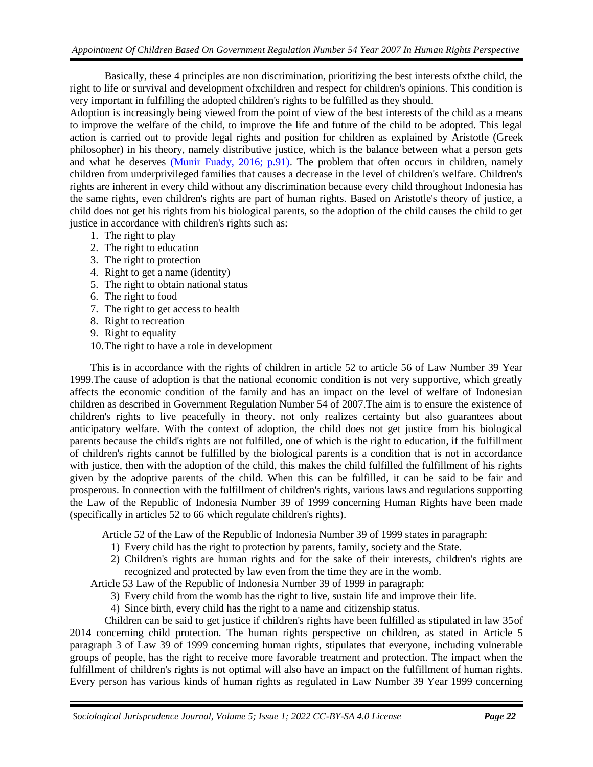Basically, these 4 principles are non discrimination, prioritizing the best interests ofxthe child, the right to life or survival and development ofxchildren and respect for children's opinions. This condition is very important in fulfilling the adopted children's rights to be fulfilled as they should.

Adoption is increasingly being viewed from the point of view of the best interests of the child as a means to improve the welfare of the child, to improve the life and future of the child to be adopted. This legal action is carried out to provide legal rights and position for children as explained by Aristotle (Greek philosopher) in his theory, namely distributive justice, which is the balance between what a person gets and what he deserves [\(Munir Fuady, 2016; p.91\).](#page-5-0) The problem that often occurs in children, namely children from underprivileged families that causes a decrease in the level of children's welfare. Children's rights are inherent in every child without any discrimination because every child throughout Indonesia has the same rights, even children's rights are part of human rights. Based on Aristotle's theory of justice, a child does not get his rights from his biological parents, so the adoption of the child causes the child to get justice in accordance with children's rights such as:

- <span id="page-5-0"></span>1. The right to play
- 2. The right to education
- 3. The right to protection
- 4. Right to get a name (identity)
- 5. The right to obtain national status
- 6. The right to food
- 7. The right to get access to health
- 8. Right to recreation
- 9. Right to equality
- 10.The right to have a role in development

This is in accordance with the rights of children in article 52 to article 56 of Law Number 39 Year 1999.The cause of adoption is that the national economic condition is not very supportive, which greatly affects the economic condition of the family and has an impact on the level of welfare of Indonesian children as described in Government Regulation Number 54 of 2007.The aim is to ensure the existence of children's rights to live peacefully in theory. not only realizes certainty but also guarantees about anticipatory welfare. With the context of adoption, the child does not get justice from his biological parents because the child's rights are not fulfilled, one of which is the right to education, if the fulfillment of children's rights cannot be fulfilled by the biological parents is a condition that is not in accordance with justice, then with the adoption of the child, this makes the child fulfilled the fulfillment of his rights given by the adoptive parents of the child. When this can be fulfilled, it can be said to be fair and prosperous. In connection with the fulfillment of children's rights, various laws and regulations supporting the Law of the Republic of Indonesia Number 39 of 1999 concerning Human Rights have been made (specifically in articles 52 to 66 which regulate children's rights).

Article 52 of the Law of the Republic of Indonesia Number 39 of 1999 states in paragraph:

- 1) Every child has the right to protection by parents, family, society and the State.
- 2) Children's rights are human rights and for the sake of their interests, children's rights are recognized and protected by law even from the time they are in the womb.

Article 53 Law of the Republic of Indonesia Number 39 of 1999 in paragraph:

- 3) Every child from the womb has the right to live, sustain life and improve their life.
- 4) Since birth, every child has the right to a name and citizenship status.

Children can be said to get justice if children's rights have been fulfilled as stipulated in law 35of 2014 concerning child protection. The human rights perspective on children, as stated in Article 5 paragraph 3 of Law 39 of 1999 concerning human rights, stipulates that everyone, including vulnerable groups of people, has the right to receive more favorable treatment and protection. The impact when the fulfillment of children's rights is not optimal will also have an impact on the fulfillment of human rights. Every person has various kinds of human rights as regulated in Law Number 39 Year 1999 concerning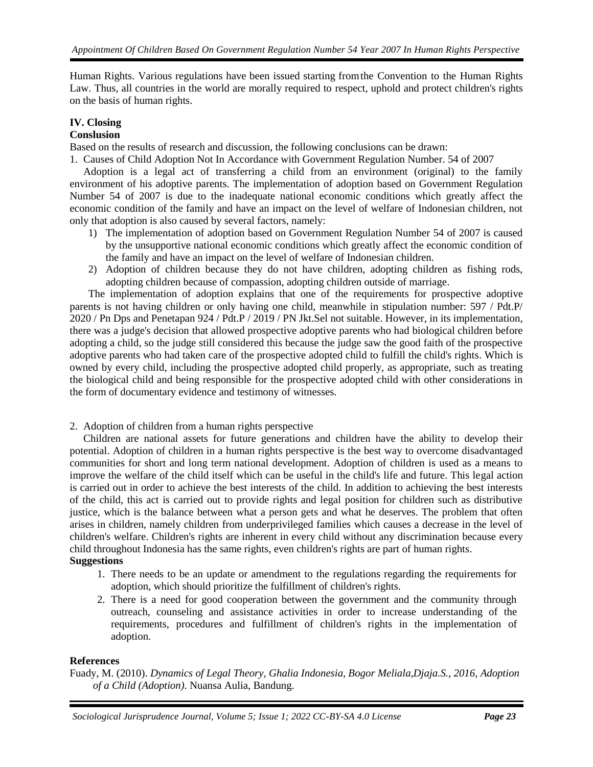Human Rights. Various regulations have been issued starting fromthe Convention to the Human Rights Law. Thus, all countries in the world are morally required to respect, uphold and protect children's rights on the basis of human rights.

# **IV. Closing**

### **Conslusion**

Based on the results of research and discussion, the following conclusions can be drawn:

1. Causes of Child Adoption Not In Accordance with Government Regulation Number. 54 of 2007

Adoption is a legal act of transferring a child from an environment (original) to the family environment of his adoptive parents. The implementation of adoption based on Government Regulation Number 54 of 2007 is due to the inadequate national economic conditions which greatly affect the economic condition of the family and have an impact on the level of welfare of Indonesian children, not only that adoption is also caused by several factors, namely:

- 1) The implementation of adoption based on Government Regulation Number 54 of 2007 is caused by the unsupportive national economic conditions which greatly affect the economic condition of the family and have an impact on the level of welfare of Indonesian children.
- 2) Adoption of children because they do not have children, adopting children as fishing rods, adopting children because of compassion, adopting children outside of marriage.

The implementation of adoption explains that one of the requirements for prospective adoptive parents is not having children or only having one child, meanwhile in stipulation number: 597 / Pdt.P/ 2020 / Pn Dps and Penetapan 924 / Pdt.P / 2019 / PN Jkt.Sel not suitable. However, in its implementation, there was a judge's decision that allowed prospective adoptive parents who had biological children before adopting a child, so the judge still considered this because the judge saw the good faith of the prospective adoptive parents who had taken care of the prospective adopted child to fulfill the child's rights. Which is owned by every child, including the prospective adopted child properly, as appropriate, such as treating the biological child and being responsible for the prospective adopted child with other considerations in the form of documentary evidence and testimony of witnesses.

2. Adoption of children from a human rights perspective

Children are national assets for future generations and children have the ability to develop their potential. Adoption of children in a human rights perspective is the best way to overcome disadvantaged communities for short and long term national development. Adoption of children is used as a means to improve the welfare of the child itself which can be useful in the child's life and future. This legal action is carried out in order to achieve the best interests of the child. In addition to achieving the best interests of the child, this act is carried out to provide rights and legal position for children such as distributive justice, which is the balance between what a person gets and what he deserves. The problem that often arises in children, namely children from underprivileged families which causes a decrease in the level of children's welfare. Children's rights are inherent in every child without any discrimination because every child throughout Indonesia has the same rights, even children's rights are part of human rights. **Suggestions**

- 1. There needs to be an update or amendment to the regulations regarding the requirements for adoption, which should prioritize the fulfillment of children's rights.
- 2. There is a need for good cooperation between the government and the community through outreach, counseling and assistance activities in order to increase understanding of the requirements, procedures and fulfillment of children's rights in the implementation of adoption.

#### **References**

Fuady, M. (2010). *Dynamics of Legal Theory, Ghalia Indonesia, Bogor Meliala,Djaja.S., 2016, Adoption of a Child (Adoption)*. Nuansa Aulia, Bandung.